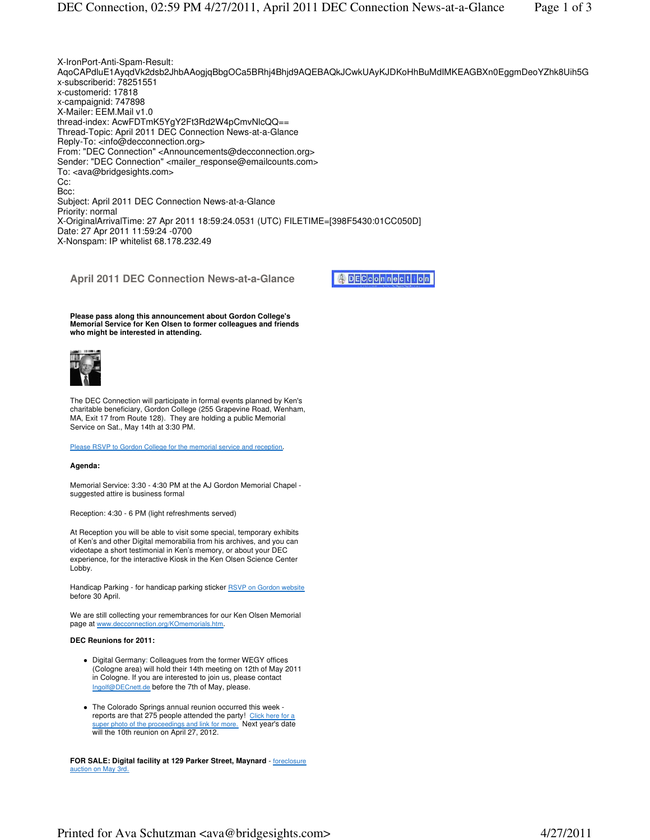

**Please pass along this announcement about Gordon College's Memorial Service for Ken Olsen to former colleagues and friends who might be interested in attending.**



The DEC Connection will participate in formal events planned by Ken's charitable beneficiary, Gordon College (255 Grapevine Road, Wenham, MA, Exit 17 from Route 128). They are holding a public Memorial Service on Sat., May 14th at 3:30 PM.

Please RSVP to Gordon College for the memorial service and reception.

## **Agenda:**

Memorial Service: 3:30 - 4:30 PM at the AJ Gordon Memorial Chapel suggested attire is business formal

Reception: 4:30 - 6 PM (light refreshments served)

At Reception you will be able to visit some special, temporary exhibits of Ken's and other Digital memorabilia from his archives, and you can videotape a short testimonial in Ken's memory, or about your DEC experience, for the interactive Kiosk in the Ken Olsen Science Center Lobby.

Handicap Parking - for handicap parking sticker RSVP on Gordon website before 30 April.

We are still collecting your remembrances for our Ken Olsen Memorial page at www.decconnection.org/KOmemorials.htm.

## **DEC Reunions for 2011:**

- Digital Germany: Colleagues from the former WEGY offices (Cologne area) will hold their 14th meeting on 12th of May 2011 in Cologne. If you are interested to join us, please contact Ingolf@DECnett.de before the 7th of May, please.
- The Colorado Springs annual reunion occurred this week reports are that 275 people attended the party! Click here for a super photo of the proceedings and link for more. Next year's date will the 10th reunion on April 27, 2012.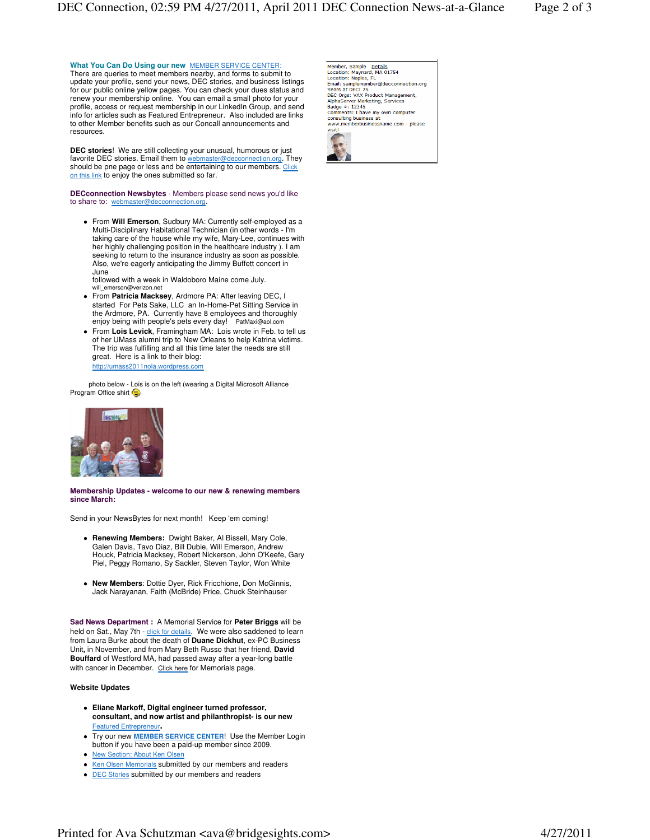## **What You Can Do Using our new** MEMBER SERVICE CENTER:

There are queries to meet members nearby, and forms to submit to update your profile, send your news, DEC stories, and business listings for our public online yellow pages. You can check your dues status and renew your membership online. You can email a small photo for your profile, access or request membership in our LinkedIn Group, and send info for articles such as Featured Entrepreneur. Also included are links to other Member benefits such as our Concall announcements and resources.

**DEC stories**! We are still collecting your unusual, humorous or just favorite DEC stories. Email them to webmaster@decconnection.org. They should be pne page or less and be entertaining to our members. Click on this link to enjoy the ones submitted so far.

**DECconnection Newsbytes** - Members please send news you'd like to share to: webmaster@decconnection.org.

 From **Will Emerson**, Sudbury MA: Currently self-employed as a Multi-Disciplinary Habitational Technician (in other words - I'm taking care of the house while my wife, Mary-Lee, continues with her highly challenging position in the healthcare industry ). I am seeking to return to the insurance industry as soon as possible. Also, we're eagerly anticipating the Jimmy Buffett concert in June

followed with a week in Waldoboro Maine come July. will\_emerson@verizon.net

- From **Patricia Macksey**, Ardmore PA: After leaving DEC, I started For Pets Sake, LLC an In-Home-Pet Sitting Service in the Ardmore, PA. Currently have 8 employees and thoroughly enjoy being with people's pets every day! PatMaxi@aol.com
- From **Lois Levick**, Framingham MA: Lois wrote in Feb. to tell us of her UMass alumni trip to New Orleans to help Katrina victims. The trip was fulfilling and all this time later the needs are still great. Here is a link to their blog: http://umass2011nola.wordpress.com

 photo below - Lois is on the left (wearing a Digital Microsoft Alliance Program Office shirt



**Membership Updates - welcome to our new & renewing members since March:**

Send in your NewsBytes for next month! Keep 'em coming!

- **Renewing Members:** Dwight Baker, Al Bissell, Mary Cole, Galen Davis, Tavo Diaz, Bill Dubie, Will Emerson, Andrew Houck, Patricia Macksey, Robert Nickerson, John O'Keefe, Gary Piel, Peggy Romano, Sy Sackler, Steven Taylor, Won White
- **New Members**: Dottie Dyer, Rick Fricchione, Don McGinnis, Jack Narayanan, Faith (McBride) Price, Chuck Steinhauser

**Sad News Department :** A Memorial Service for **Peter Briggs** will be held on Sat., May 7th - click for details. We were also saddened to learn from Laura Burke about the death of **Duane Dickhut**, ex-PC Business Unit**,** in November, and from Mary Beth Russo that her friend, **David Bouffard** of Westford MA, had passed away after a year-long battle with cancer in December. Click here for Memorials page.

## **Website Updates**

- **Eliane Markoff, Digital engineer turned professor, consultant, and now artist and philanthropist- is our new**  Featured Entrepreneur**.**
- Try our new **MEMBER SERVICE CENTER**! Use the Member Login button if you have been a paid-up member since 2009.
- New Section: About Ken Olsen
- Ken Olsen Memorials submitted by our members and readers
- DEC Stories submitted by our members and readers

Member, Sample Details<br>Location: Maynard, MA 01754 Location: maynaru, mA 01754<br>Location: Naples, FL<br>Email: samplemember@decconnection.org Years at DFC: 25 Tears at DEC. 23<br>DEC Orgs: VAX Product Management,<br>AlphaServer Marketing, Services Badge #: 12345 Comments: I have my own computer comments: 1 have my<br>consulting business at www.memberbusinessname.com - please visit!